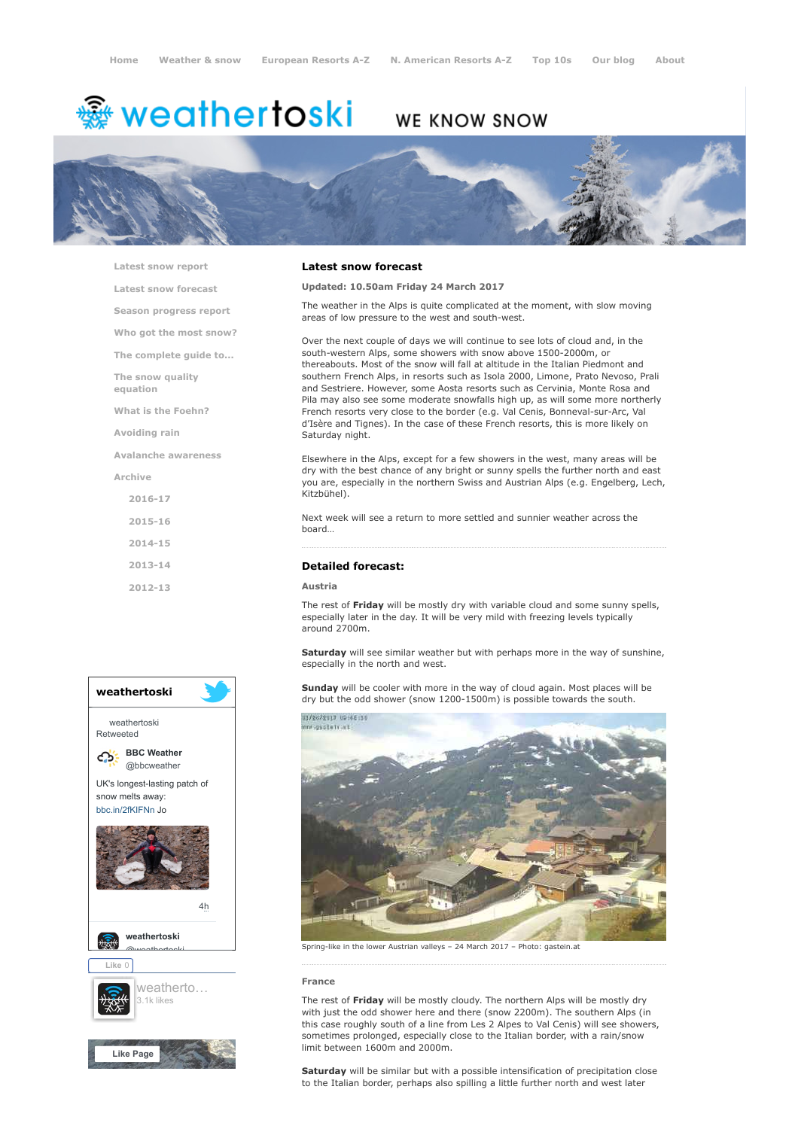# <del>鑾</del> weathertoski

## **WE KNOW SNOW**



[Latest snow report](https://www.weathertoski.co.uk/weather-snow/latest-snow-report/) [Latest snow forecast](https://www.weathertoski.co.uk/weather-snow/latest-snow-forecast/) [Season progress report](https://www.weathertoski.co.uk/weather-snow/season-progress-report/) [Who got the most snow?](https://www.weathertoski.co.uk/weather-snow/who-got-the-most-snow/) [The complete guide to...](https://www.weathertoski.co.uk/weather-snow/the-complete-guide-to/) [The snow quality](https://www.weathertoski.co.uk/weather-snow/the-snow-quality-equation/) equation [What is the Foehn?](https://www.weathertoski.co.uk/weather-snow/what-is-the-foehn/) [Avoiding rain](https://www.weathertoski.co.uk/weather-snow/avoiding-rain/) [Avalanche awareness](https://www.weathertoski.co.uk/weather-snow/avalanche-awareness/) [Archive](https://www.weathertoski.co.uk/weather-snow/archive/) [2016-17](https://www.weathertoski.co.uk/weather-snow/archive/2016-17/) [2015-16](https://www.weathertoski.co.uk/weather-snow/archive/2015-16/) [2014-15](https://www.weathertoski.co.uk/weather-snow/archive/2014-15/) [2013-14](https://www.weathertoski.co.uk/weather-snow/archive/2013-14/) [2012-13](https://www.weathertoski.co.uk/weather-snow/archive/2012-13/)



#### Latest snow forecast

#### Updated: 10.50am Friday 24 March 2017

The weather in the Alps is quite complicated at the moment, with slow moving areas of low pressure to the west and south-west.

Over the next couple of days we will continue to see lots of cloud and, in the south-western Alps, some showers with snow above 1500-2000m, or thereabouts. Most of the snow will fall at altitude in the Italian Piedmont and southern French Alps, in resorts such as Isola 2000, Limone, Prato Nevoso, Prali and Sestriere. However, some Aosta resorts such as Cervinia, Monte Rosa and Pila may also see some moderate snowfalls high up, as will some more northerly French resorts very close to the border (e.g. Val Cenis, Bonneval-sur-Arc, Val d'Isère and Tignes). In the case of these French resorts, this is more likely on Saturday night.

Elsewhere in the Alps, except for a few showers in the west, many areas will be dry with the best chance of any bright or sunny spells the further north and east you are, especially in the northern Swiss and Austrian Alps (e.g. Engelberg, Lech, Kitzbühel).

Next week will see a return to more settled and sunnier weather across the board…

#### Detailed forecast:

#### Austria

The rest of Friday will be mostly dry with variable cloud and some sunny spells, especially later in the day. It will be very mild with freezing levels typically around 2700m.

Saturday will see similar weather but with perhaps more in the way of sunshine, especially in the north and west.

Sunday will be cooler with more in the way of cloud again. Most places will be dry but the odd shower (snow 1200-1500m) is possible towards the south.



Spring-like in the lower Austrian valleys – 24 March 2017 – Photo: gastein.at

#### France

The rest of Friday will be mostly cloudy. The northern Alps will be mostly dry with just the odd shower here and there (snow 2200m). The southern Alps (in this case roughly south of a line from Les 2 Alpes to Val Cenis) will see showers, sometimes prolonged, especially close to the Italian border, with a rain/snow limit between 1600m and 2000m.

Saturday will be similar but with a possible intensification of precipitation close to the Italian border, perhaps also spilling a little further north and west later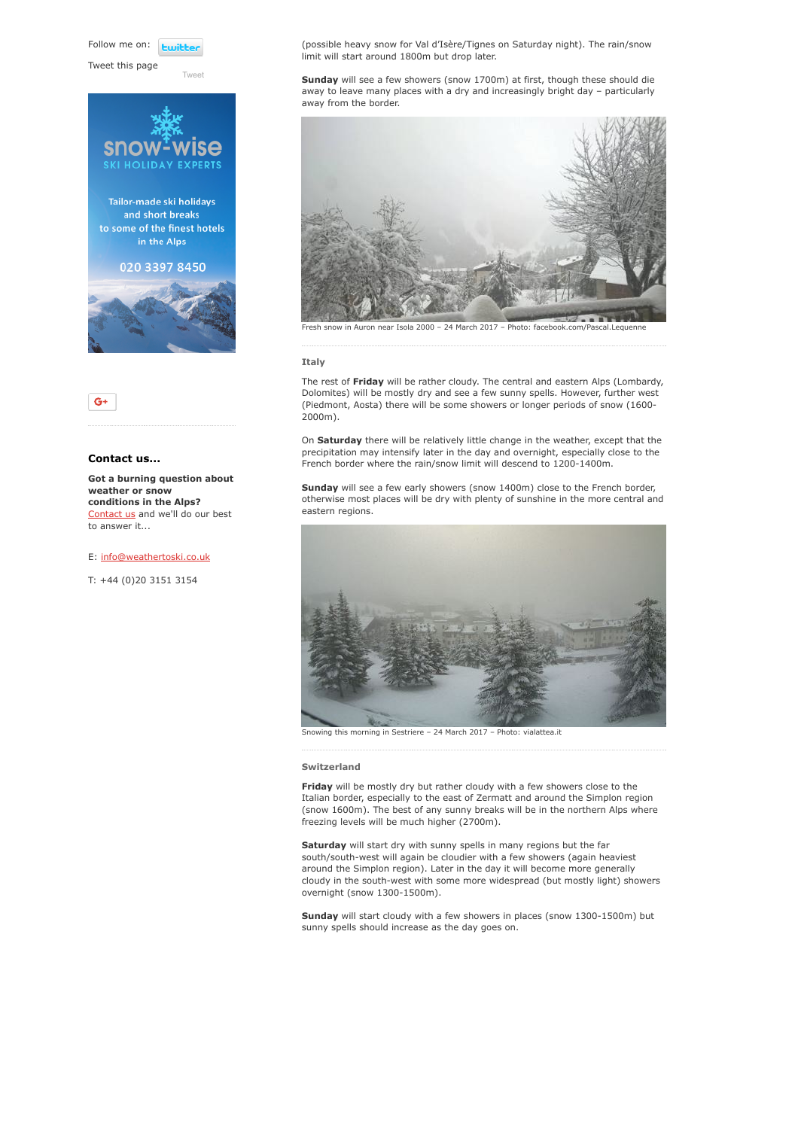Follow me on: **Luitt** 

[Tweet](https://twitter.com/intent/tweet?original_referer=https%3A%2F%2Fwww.weathertoski.co.uk%2Fweather-snow%2Farchive%2Fsnow-forecast-24-03-2017%2F&ref_src=twsrc%5Etfw&text=Weather%20to%20ski%20-%20Snow%20forecast%20-%2024%20March%202017&tw_p=tweetbutton&url=https%3A%2F%2Fwww.weathertoski.co.uk%2Fweather-snow%2Farchive%2Fsnow-forecast-24-03-2017%2F)

Tweet this page





#### Contact us...

Got a burning question about weather or snow conditions in the Alps? [Contact us](https://www.weathertoski.co.uk/about-1/contact-us/) and we'll do our best to answer it...

E: [info@weathertoski.co.uk](mailto:fraser@weathertoski.co.uk)

T: +44 (0)20 3151 3154

(possible heavy snow for Val d'Isère/Tignes on Saturday night). The rain/snow limit will start around 1800m but drop later.

Sunday will see a few showers (snow 1700m) at first, though these should die away to leave many places with a dry and increasingly bright day – particularly away from the border.



#### Italy

The rest of Friday will be rather cloudy. The central and eastern Alps (Lombardy, Dolomites) will be mostly dry and see a few sunny spells. However, further west (Piedmont, Aosta) there will be some showers or longer periods of snow (1600- 2000m).

On Saturday there will be relatively little change in the weather, except that the precipitation may intensify later in the day and overnight, especially close to the French border where the rain/snow limit will descend to 1200-1400m.

Sunday will see a few early showers (snow 1400m) close to the French border, otherwise most places will be dry with plenty of sunshine in the more central and eastern regions.



Snowing this morning in Sestriere – 24 March 2017 – Photo: vialattea.it

#### Switzerland

Friday will be mostly dry but rather cloudy with a few showers close to the Italian border, especially to the east of Zermatt and around the Simplon region (snow 1600m). The best of any sunny breaks will be in the northern Alps where freezing levels will be much higher (2700m).

Saturday will start dry with sunny spells in many regions but the far south/south-west will again be cloudier with a few showers (again heaviest around the Simplon region). Later in the day it will become more generally cloudy in the south-west with some more widespread (but mostly light) showers overnight (snow 1300-1500m).

Sunday will start cloudy with a few showers in places (snow 1300-1500m) but sunny spells should increase as the day goes on.